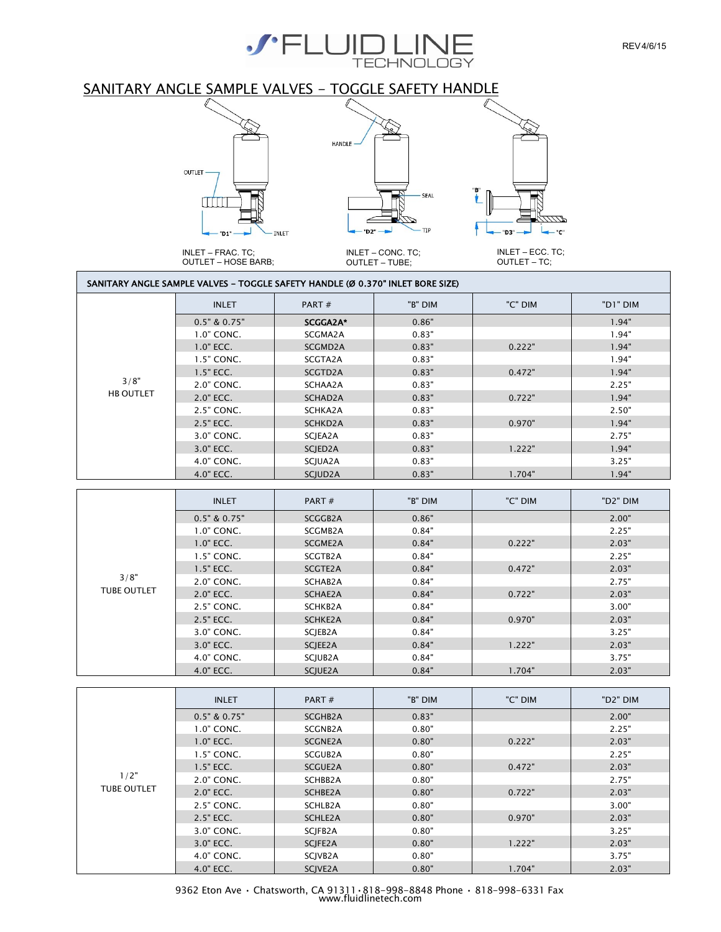

## SANITARY ANGLE SAMPLE VALVES - TOGGLE SAFETY HANDLE



#### SANITARY ANGLE SAMPLE VALVES - TOGGLE SAFETY HANDLE (Ø 0.370" INLET BORE SIZE)

|                  | <b>INLET</b>     | PART#                | "B" DIM | "C" DIM | "D1" DIM |
|------------------|------------------|----------------------|---------|---------|----------|
|                  | $0.5"$ & $0.75"$ | SCGGA2A*             | 0.86"   |         | 1.94"    |
|                  | 1.0" CONC.       | SCGMA2A              | 0.83"   |         | 1.94"    |
|                  | $1.0"$ ECC.      | SCGMD2A              | 0.83"   | 0.222"  | 1.94"    |
|                  | 1.5" CONC.       | SCGTA2A              | 0.83"   |         | 1.94"    |
|                  | $1.5"$ ECC.      | SCGTD2A              | 0.83"   | 0.472"  | 1.94"    |
| 3/8"             | 2.0" CONC.       | SCHAA2A              | 0.83"   |         | 2.25"    |
| <b>HB OUTLET</b> | 2.0" ECC.        | SCHAD2A              | 0.83"   | 0.722"  | 1.94"    |
|                  | 2.5" CONC.       | SCHKA2A              | 0.83"   |         | 2.50"    |
|                  | 2.5" ECC.        | SCHKD2A              | 0.83"   | 0.970"  | 1.94"    |
|                  | 3.0" CONC.       | SCJEA2A              | 0.83"   |         | 2.75"    |
|                  | 3.0" ECC.        | SCJED <sub>2</sub> A | 0.83"   | 1.222"  | 1.94"    |
|                  | 4.0" CONC.       | SCJUA2A              | 0.83"   |         | 3.25"    |
|                  | 4.0" ECC.        | SCJUD2A              | 0.83"   | 1.704"  | 1.94"    |

|                    | <b>INLET</b>     | PART#                | "B" DIM | "C" DIM | "D2" DIM |
|--------------------|------------------|----------------------|---------|---------|----------|
|                    | $0.5"$ & $0.75"$ | SCGGB2A              | 0.86"   |         | 2.00"    |
|                    | 1.0" CONC.       | SCGMB2A              | 0.84"   |         | 2.25"    |
|                    | $1.0"$ ECC.      | SCGME2A              | 0.84"   | 0.222"  | 2.03"    |
|                    | 1.5" CONC.       | SCGTB2A              | 0.84"   |         | 2.25"    |
|                    | $1.5"$ ECC.      | SCGTE2A              | 0.84"   | 0.472"  | 2.03"    |
| 3/8"               | 2.0" CONC.       | SCHAB2A              | 0.84"   |         | 2.75"    |
| <b>TUBE OUTLET</b> | 2.0" ECC.        | SCHAE2A              | 0.84"   | 0.722"  | 2.03"    |
|                    | 2.5" CONC.       | SCHKB2A              | 0.84"   |         | 3.00"    |
|                    | 2.5" ECC.        | SCHKE2A              | 0.84"   | 0.970"  | 2.03"    |
|                    | 3.0" CONC.       | SCIEB <sub>2</sub> A | 0.84"   |         | 3.25"    |
|                    | 3.0" ECC.        | SCJEE2A              | 0.84"   | 1.222"  | 2.03"    |
|                    | 4.0" CONC.       | SCJUB <sub>2</sub> A | 0.84"   |         | 3.75"    |
|                    | 4.0" ECC.        | SCJUE2A              | 0.84"   | 1.704"  | 2.03"    |

|                    | <b>INLET</b>     | PART $#$ | "B" DIM | "C" DIM | "D <sub>2</sub> " DIM |
|--------------------|------------------|----------|---------|---------|-----------------------|
|                    | $0.5"$ & $0.75"$ | SCGHB2A  | 0.83"   |         | 2.00"                 |
|                    | 1.0" CONC.       | SCGNB2A  | 0.80"   |         | 2.25"                 |
|                    | 1.0" ECC.        | SCGNE2A  | 0.80"   | 0.222"  | 2.03"                 |
|                    | 1.5" CONC.       | SCGUB2A  | 0.80"   |         | 2.25"                 |
|                    | 1.5" ECC.        | SCGUE2A  | 0.80"   | 0.472"  | 2.03"                 |
| 1/2"               | 2.0" CONC.       | SCHBB2A  | 0.80"   |         | 2.75"                 |
| <b>TUBE OUTLET</b> | 2.0" ECC.        | SCHBE2A  | 0.80"   | 0.722"  | 2.03"                 |
|                    | 2.5" CONC.       | SCHLB2A  | 0.80"   |         | 3.00"                 |
|                    | 2.5" ECC.        | SCHLE2A  | 0.80"   | 0.970"  | 2.03"                 |
|                    | 3.0" CONC.       | SCJFB2A  | 0.80"   |         | 3.25"                 |
|                    | 3.0" ECC.        | SCJFE2A  | 0.80"   | 1.222"  | 2.03"                 |
|                    | 4.0" CONC.       | SCJVB2A  | 0.80"   |         | 3.75"                 |
|                    | 4.0" ECC.        | SCJVE2A  | 0.80"   | 1.704"  | 2.03"                 |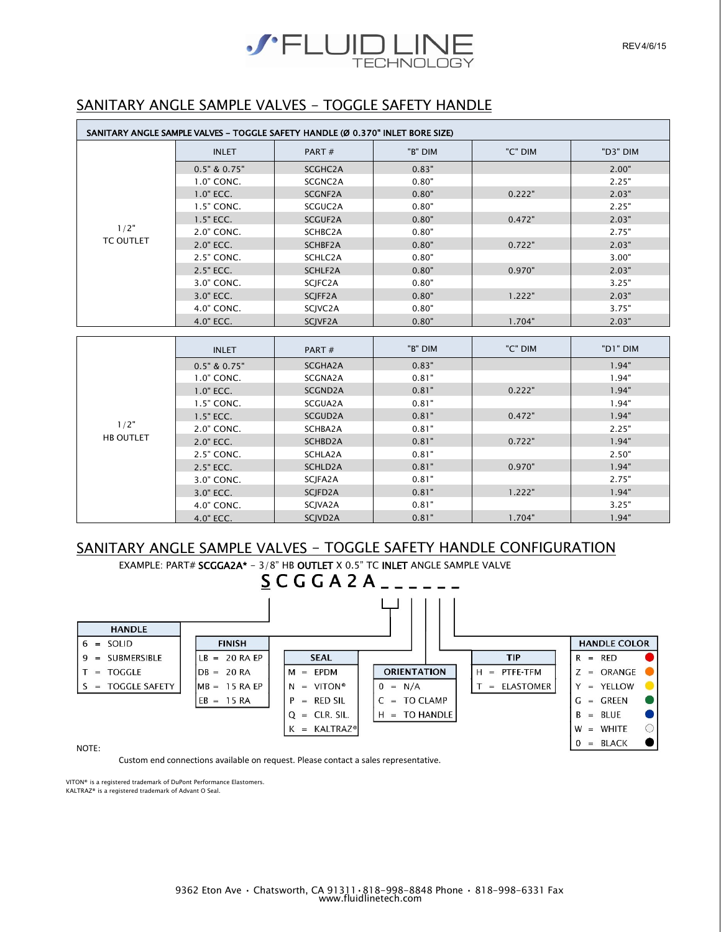

# SANITARY ANGLE SAMPLE VALVES - TOGGLE SAFETY HANDLE

| SANITARY ANGLE SAMPLE VALVES - TOGGLE SAFETY HANDLE (Ø 0.370" INLET BORE SIZE) |                  |                      |         |         |          |
|--------------------------------------------------------------------------------|------------------|----------------------|---------|---------|----------|
|                                                                                | <b>INLET</b>     | PART#                | "B" DIM | "C" DIM | "D3" DIM |
|                                                                                | $0.5"$ & $0.75"$ | SCGHC <sub>2</sub> A | 0.83"   |         | 2.00"    |
|                                                                                | $1.0"$ CONC.     | SCGNC2A              | 0.80"   |         | 2.25"    |
|                                                                                | $1.0"$ ECC.      | SCGNF2A              | 0.80"   | 0.222"  | 2.03"    |
|                                                                                | 1.5" CONC.       | SCGUC <sub>2</sub> A | 0.80"   |         | 2.25"    |
|                                                                                | $1.5"$ ECC.      | SCGUF2A              | 0.80"   | 0.472"  | 2.03"    |
| 1/2"                                                                           | 2.0" CONC.       | SCHBC2A              | 0.80"   |         | 2.75"    |
| <b>TC OUTLET</b>                                                               | 2.0" ECC.        | SCHBF2A              | 0.80"   | 0.722"  | 2.03"    |
|                                                                                | 2.5" CONC.       | SCHLC2A              | 0.80"   |         | 3.00"    |
|                                                                                | 2.5" ECC.        | SCHLF2A              | 0.80"   | 0.970"  | 2.03"    |
|                                                                                | 3.0" CONC.       | SCJFC2A              | 0.80"   |         | 3.25"    |
|                                                                                | 3.0" ECC.        | SCJFF2A              | 0.80"   | 1.222"  | 2.03"    |
|                                                                                | 4.0" CONC.       | SCJVC2A              | 0.80"   |         | 3.75"    |
|                                                                                | 4.0" ECC.        | SCJVF2A              | 0.80"   | 1.704"  | 2.03"    |

|                  | <b>INLET</b>     | PART $#$             | "B" DIM | "C" DIM | "D1" DIM |
|------------------|------------------|----------------------|---------|---------|----------|
|                  | $0.5"$ & $0.75"$ | SCGHA2A              | 0.83"   |         | 1.94"    |
|                  | 1.0" CONC.       | SCGNA2A              | 0.81"   |         | 1.94"    |
|                  | $1.0"$ ECC.      | SCGND2A              | 0.81"   | 0.222"  | 1.94"    |
|                  | 1.5" CONC.       | SCGUA2A              | 0.81"   |         | 1.94"    |
|                  | 1.5" ECC.        | SCGUD2A              | 0.81"   | 0.472"  | 1.94"    |
| 1/2"             | 2.0" CONC.       | SCHBA2A              | 0.81"   |         | 2.25"    |
| <b>HB OUTLET</b> | 2.0" ECC.        | SCHBD2A              | 0.81"   | 0.722"  | 1.94"    |
|                  | 2.5" CONC.       | SCHLA2A              | 0.81"   |         | 2.50"    |
|                  | 2.5" ECC.        | SCHLD2A              | 0.81"   | 0.970"  | 1.94"    |
|                  | 3.0" CONC.       | SCJFA2A              | 0.81"   |         | 2.75"    |
|                  | 3.0" ECC.        | SCJFD <sub>2</sub> A | 0.81"   | 1.222"  | 1.94"    |
|                  | 4.0" CONC.       | SCJVA2A              | 0.81"   |         | 3.25"    |
|                  | 4.0" ECC.        | SCJVD <sub>2</sub> A | 0.81"   | 1.704"  | 1.94"    |

#### SANITARY ANGLE SAMPLE VALVES - TOGGLE SAFETY HANDLE CONFIGURATION



NOTE:

Custom end connections available on request. Please contact a sales representative.

VITON® is a registered trademark of DuPont Performance Elastomers. KALTRAZ® is a registered trademark of Advant O Seal.